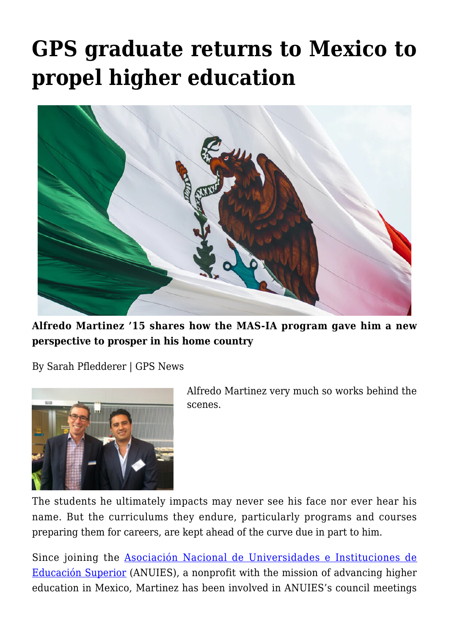## **[GPS graduate returns to Mexico to](https://gpsnews.ucsd.edu/gps-graduate-returns-to-mexico-to-propel-higher-education/) [propel higher education](https://gpsnews.ucsd.edu/gps-graduate-returns-to-mexico-to-propel-higher-education/)**



**Alfredo Martinez '15 shares how the MAS-IA program gave him a new perspective to prosper in his home country**

By Sarah Pfledderer | GPS News



Alfredo Martinez very much so works behind the scenes.

The students he ultimately impacts may never see his face nor ever hear his name. But the curriculums they endure, particularly programs and courses preparing them for careers, are kept ahead of the curve due in part to him.

Since joining the [Asociación Nacional de Universidades e Instituciones de](http://www.anuies.mx/) [Educación Superior](http://www.anuies.mx/) (ANUIES), a nonprofit with the mission of advancing higher education in Mexico, Martinez has been involved in ANUIES's council meetings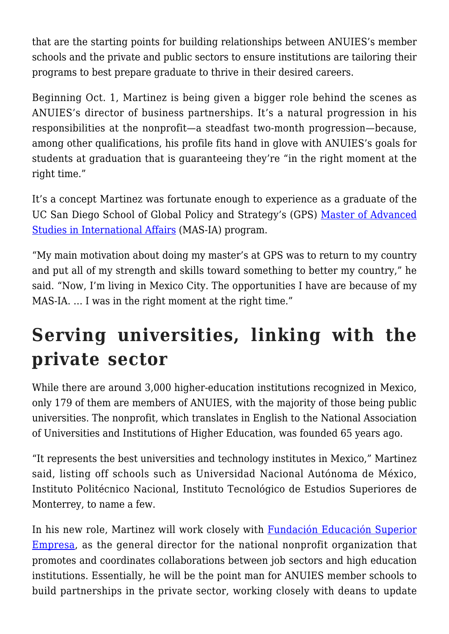that are the starting points for building relationships between ANUIES's member schools and the private and public sectors to ensure institutions are tailoring their programs to best prepare graduate to thrive in their desired careers.

Beginning Oct. 1, Martinez is being given a bigger role behind the scenes as ANUIES's director of business partnerships. It's a natural progression in his responsibilities at the nonprofit—a steadfast two-month progression—because, among other qualifications, his profile fits hand in glove with ANUIES's goals for students at graduation that is guaranteeing they're "in the right moment at the right time."

It's a concept Martinez was fortunate enough to experience as a graduate of the UC San Diego School of Global Policy and Strategy's (GPS) [Master of Advanced](https://gps.ucsd.edu/academics/mas-ia.html) [Studies in International Affairs](https://gps.ucsd.edu/academics/mas-ia.html) (MAS-IA) program.

"My main motivation about doing my master's at GPS was to return to my country and put all of my strength and skills toward something to better my country," he said. "Now, I'm living in Mexico City. The opportunities I have are because of my MAS-IA. ... I was in the right moment at the right time."

## **Serving universities, linking with the private sector**

While there are around 3,000 higher-education institutions recognized in Mexico, only 179 of them are members of ANUIES, with the majority of those being public universities. The nonprofit, which translates in English to the National Association of Universities and Institutions of Higher Education, was founded 65 years ago.

"It represents the best universities and technology institutes in Mexico," Martinez said, listing off schools such as Universidad Nacional Autónoma de México, Instituto Politécnico Nacional, Instituto Tecnológico de Estudios Superiores de Monterrey, to name a few.

In his new role, Martinez will work closely with [Fundación Educación Superior](http://fese.org.mx/) [Empresa](http://fese.org.mx/), as the general director for the national nonprofit organization that promotes and coordinates collaborations between job sectors and high education institutions. Essentially, he will be the point man for ANUIES member schools to build partnerships in the private sector, working closely with deans to update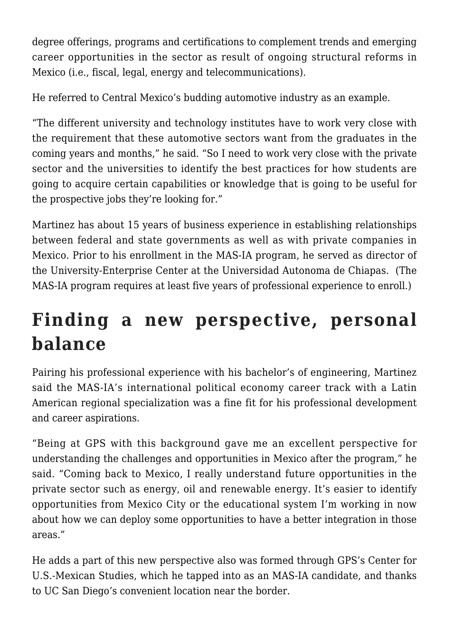degree offerings, programs and certifications to complement trends and emerging career opportunities in the sector as result of ongoing structural reforms in Mexico (i.e., fiscal, legal, energy and telecommunications).

He referred to Central Mexico's budding automotive industry as an example.

"The different university and technology institutes have to work very close with the requirement that these automotive sectors want from the graduates in the coming years and months," he said. "So I need to work very close with the private sector and the universities to identify the best practices for how students are going to acquire certain capabilities or knowledge that is going to be useful for the prospective jobs they're looking for."

Martinez has about 15 years of business experience in establishing relationships between federal and state governments as well as with private companies in Mexico. Prior to his enrollment in the MAS-IA program, he served as director of the University-Enterprise Center at the Universidad Autonoma de Chiapas. (The MAS-IA program requires at least five years of professional experience to enroll.)

## **Finding a new perspective, personal balance**

Pairing his professional experience with his bachelor's of engineering, Martinez said the MAS-IA's international political economy career track with a Latin American regional specialization was a fine fit for his professional development and career aspirations.

"Being at GPS with this background gave me an excellent perspective for understanding the challenges and opportunities in Mexico after the program," he said. "Coming back to Mexico, I really understand future opportunities in the private sector such as energy, oil and renewable energy. It's easier to identify opportunities from Mexico City or the educational system I'm working in now about how we can deploy some opportunities to have a better integration in those areas."

He adds a part of this new perspective also was formed through GPS's Center for U.S.-Mexican Studies, which he tapped into as an MAS-IA candidate, and thanks to UC San Diego's convenient location near the border.